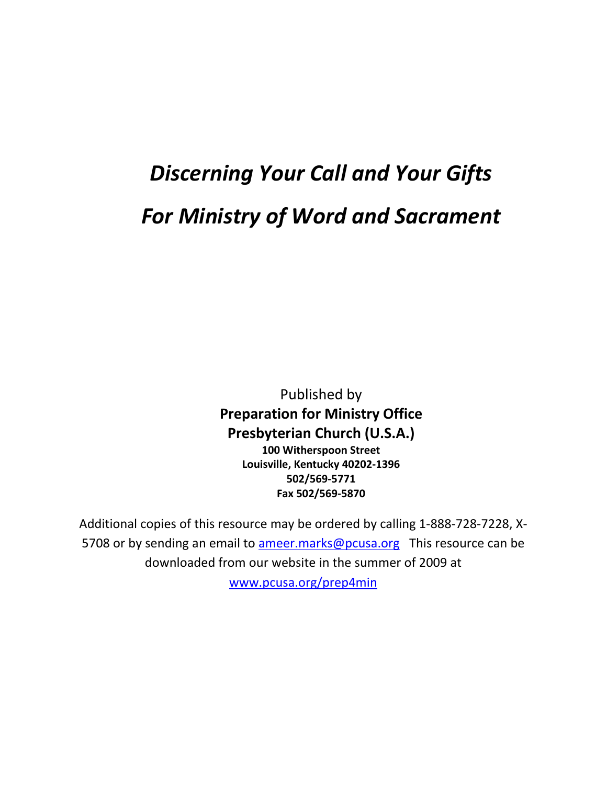# *Discerning Your Call and Your Gifts For Ministry of Word and Sacrament*

Published by **Preparation for Ministry Office Presbyterian Church (U.S.A.) 100 Witherspoon Street Louisville, Kentucky 40202-1396 502/569-5771 Fax 502/569-5870**

Additional copies of this resource may be ordered by calling 1-888-728-7228, X5708 or by sending an email to [ameer.marks@pcusa.org](mailto:ameer.marks@pcusa.org) This resource can be downloaded from our website in the summer of 2009 at

[www.pcusa.org/prep4min](http://www.pcusa.org/prep4min)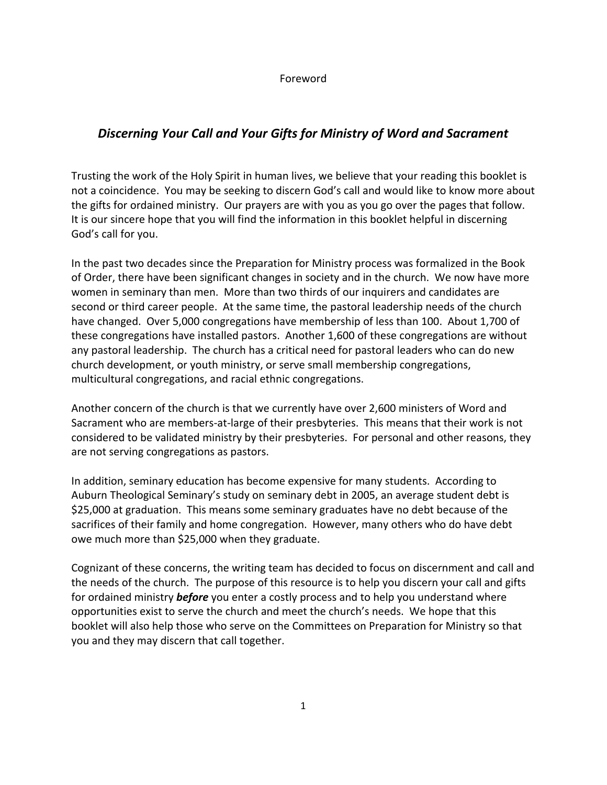## Foreword

# *Discerning Your Call and Your Gifts for Ministry of Word and Sacrament*

Trusting the work of the Holy Spirit in human lives, we believe that your reading this booklet is not a coincidence. You may be seeking to discern God's call and would like to know more about the gifts for ordained ministry. Our prayers are with you as you go over the pages that follow. It is our sincere hope that you will find the information in this booklet helpful in discerning God's call for you.

In the past two decades since the Preparation for Ministry process was formalized in the Book of Order, there have been significant changes in society and in the church. We now have more women in seminary than men. More than two thirds of our inquirers and candidates are second or third career people. At the same time, the pastoral leadership needs of the church have changed. Over 5,000 congregations have membership of less than 100. About 1,700 of these congregations have installed pastors. Another 1,600 of these congregations are without any pastoral leadership. The church has a critical need for pastoral leaders who can do new church development, or youth ministry, or serve small membership congregations, multicultural congregations, and racial ethnic congregations.

Another concern of the church is that we currently have over 2,600 ministers of Word and Sacrament who are members-at-large of their presbyteries. This means that their work is not considered to be validated ministry by their presbyteries. For personal and other reasons, they are not serving congregations as pastors.

In addition, seminary education has become expensive for many students. According to Auburn Theological Seminary's study on seminary debt in 2005, an average student debt is \$25,000 at graduation. This means some seminary graduates have no debt because of the sacrifices of their family and home congregation. However, many others who do have debt owe much more than \$25,000 when they graduate.

Cognizant of these concerns, the writing team has decided to focus on discernment and call and the needs of the church. The purpose of this resource is to help you discern your call and gifts for ordained ministry *before* you enter a costly process and to help you understand where opportunities exist to serve the church and meet the church's needs. We hope that this booklet will also help those who serve on the Committees on Preparation for Ministry so that you and they may discern that call together.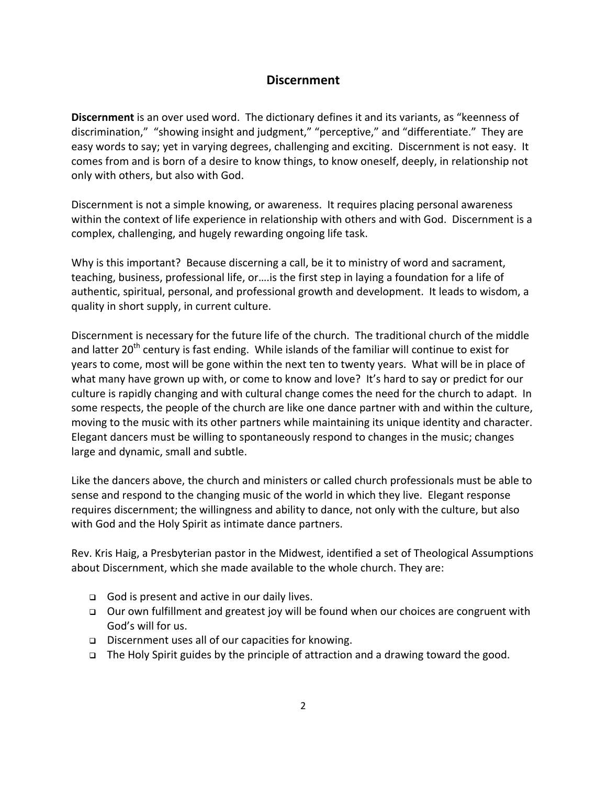# **Discernment**

**Discernment** is an over used word. The dictionary defines it and its variants, as "keenness of discrimination," "showing insight and judgment," "perceptive," and "differentiate." They are easy words to say; yet in varying degrees, challenging and exciting. Discernment is not easy. It comes from and is born of a desire to know things, to know oneself, deeply, in relationship not only with others, but also with God.

Discernment is not a simple knowing, or awareness. It requires placing personal awareness within the context of life experience in relationship with others and with God. Discernment is a complex, challenging, and hugely rewarding ongoing life task.

Why is this important? Because discerning a call, be it to ministry of word and sacrament, teaching, business, professional life, or….is the first step in laying a foundation for a life of authentic, spiritual, personal, and professional growth and development. It leads to wisdom, a quality in short supply, in current culture.

Discernment is necessary for the future life of the church. The traditional church of the middle and latter 20<sup>th</sup> century is fast ending. While islands of the familiar will continue to exist for years to come, most will be gone within the next ten to twenty years. What will be in place of what many have grown up with, or come to know and love? It's hard to say or predict for our culture is rapidly changing and with cultural change comes the need for the church to adapt. In some respects, the people of the church are like one dance partner with and within the culture, moving to the music with its other partners while maintaining its unique identity and character. Elegant dancers must be willing to spontaneously respond to changes in the music; changes large and dynamic, small and subtle.

Like the dancers above, the church and ministers or called church professionals must be able to sense and respond to the changing music of the world in which they live. Elegant response requires discernment; the willingness and ability to dance, not only with the culture, but also with God and the Holy Spirit as intimate dance partners.

Rev. Kris Haig, a Presbyterian pastor in the Midwest, identified a set of Theological Assumptions about Discernment, which she made available to the whole church. They are:

- God is present and active in our daily lives.
- Our own fulfillment and greatest joy will be found when our choices are congruent with God's will for us.
- Discernment uses all of our capacities for knowing.
- $\Box$  The Holy Spirit guides by the principle of attraction and a drawing toward the good.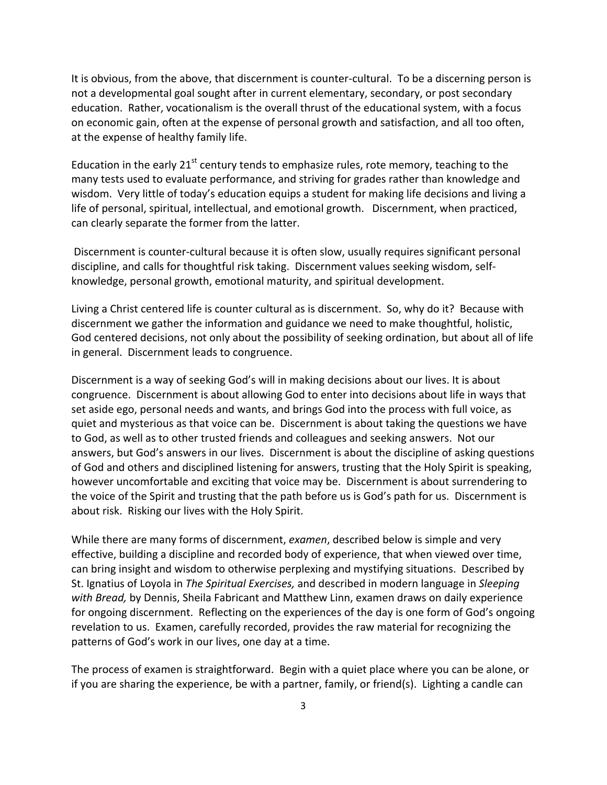It is obvious, from the above, that discernment is counter-cultural. To be a discerning person is not a developmental goal sought after in current elementary, secondary, or post secondary education. Rather, vocationalism is the overall thrust of the educational system, with a focus on economic gain, often at the expense of personal growth and satisfaction, and all too often, at the expense of healthy family life.

Education in the early  $21^{st}$  century tends to emphasize rules, rote memory, teaching to the many tests used to evaluate performance, and striving for grades rather than knowledge and wisdom. Very little of today's education equips a student for making life decisions and living a life of personal, spiritual, intellectual, and emotional growth. Discernment, when practiced, can clearly separate the former from the latter.

Discernment is counter-cultural because it is often slow, usually requires significant personal discipline, and calls for thoughtful risk taking. Discernment values seeking wisdom, selfknowledge, personal growth, emotional maturity, and spiritual development.

Living a Christ centered life is counter cultural as is discernment. So, why do it? Because with discernment we gather the information and guidance we need to make thoughtful, holistic, God centered decisions, not only about the possibility of seeking ordination, but about all of life in general. Discernment leads to congruence.

Discernment is a way of seeking God's will in making decisions about our lives. It is about congruence. Discernment is about allowing God to enter into decisions about life in ways that set aside ego, personal needs and wants, and brings God into the process with full voice, as quiet and mysterious as that voice can be. Discernment is about taking the questions we have to God, as well as to other trusted friends and colleagues and seeking answers. Not our answers, but God's answers in our lives. Discernment is about the discipline of asking questions of God and others and disciplined listening for answers, trusting that the Holy Spirit is speaking, however uncomfortable and exciting that voice may be. Discernment is about surrendering to the voice of the Spirit and trusting that the path before us is God's path for us. Discernment is about risk. Risking our lives with the Holy Spirit.

While there are many forms of discernment, *examen*, described below is simple and very effective, building a discipline and recorded body of experience, that when viewed over time, can bring insight and wisdom to otherwise perplexing and mystifying situations. Described by St. Ignatius of Loyola in *The Spiritual Exercises,* and described in modern language in *Sleeping with Bread,* by Dennis, Sheila Fabricant and Matthew Linn, examen draws on daily experience for ongoing discernment. Reflecting on the experiences of the day is one form of God's ongoing revelation to us. Examen, carefully recorded, provides the raw material for recognizing the patterns of God's work in our lives, one day at a time.

The process of examen is straightforward. Begin with a quiet place where you can be alone, or if you are sharing the experience, be with a partner, family, or friend(s). Lighting a candle can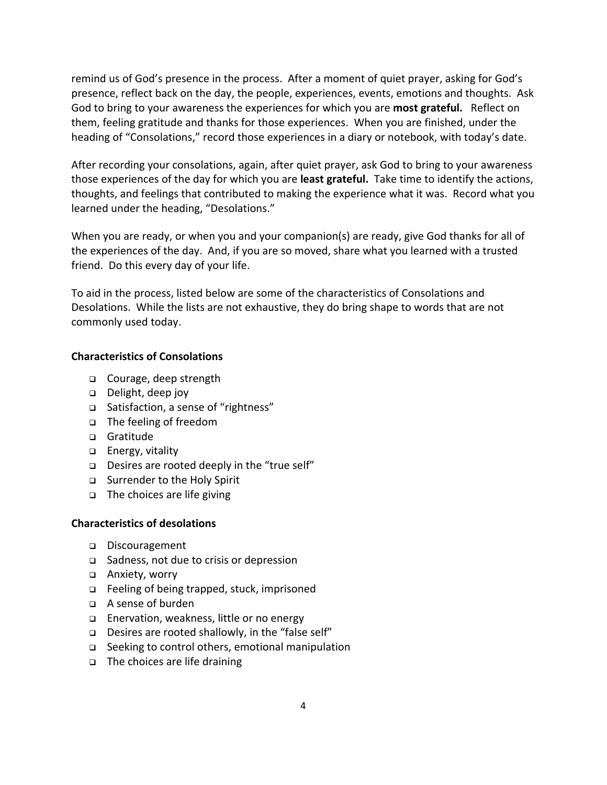remind us of God's presence in the process. After a moment of quiet prayer, asking for God's presence, reflect back on the day, the people, experiences, events, emotions and thoughts. Ask God to bring to your awareness the experiences for which you are **most grateful.** Reflect on them, feeling gratitude and thanks for those experiences. When you are finished, under the heading of "Consolations," record those experiences in a diary or notebook, with today's date.

After recording your consolations, again, after quiet prayer, ask God to bring to your awareness those experiences of the day for which you are **least grateful.** Take time to identify the actions, thoughts, and feelings that contributed to making the experience what it was. Record what you learned under the heading, "Desolations."

When you are ready, or when you and your companion(s) are ready, give God thanks for all of the experiences of the day. And, if you are so moved, share what you learned with a trusted friend. Do this every day of your life.

To aid in the process, listed below are some of the characteristics of Consolations and Desolations. While the lists are not exhaustive, they do bring shape to words that are not commonly used today.

## **Characteristics of Consolations**

- Courage, deep strength
- Delight, deep joy
- □ Satisfaction, a sense of "rightness"
- □ The feeling of freedom
- Gratitude
- □ Energy, vitality
- Desires are rooted deeply in the "true self"
- □ Surrender to the Holy Spirit
- $\Box$  The choices are life giving

#### **Characteristics of desolations**

- Discouragement
- □ Sadness, not due to crisis or depression
- Anxiety, worry
- □ Feeling of being trapped, stuck, imprisoned
- A sense of burden
- □ Enervation, weakness, little or no energy
- Desires are rooted shallowly, in the "false self"
- □ Seeking to control others, emotional manipulation
- □ The choices are life draining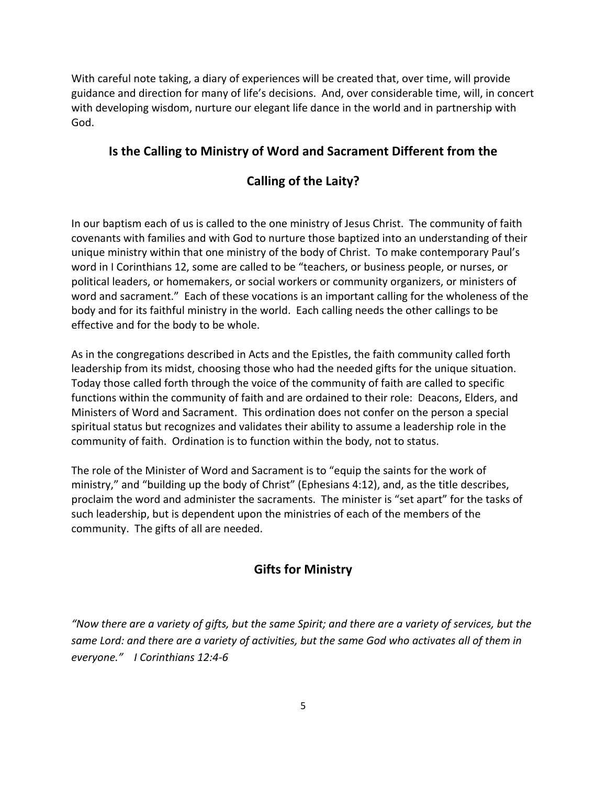With careful note taking, a diary of experiences will be created that, over time, will provide guidance and direction for many of life's decisions. And, over considerable time, will, in concert with developing wisdom, nurture our elegant life dance in the world and in partnership with God.

# **Is the Calling to Ministry of Word and Sacrament Different from the**

# **Calling of the Laity?**

In our baptism each of us is called to the one ministry of Jesus Christ. The community of faith covenants with families and with God to nurture those baptized into an understanding of their unique ministry within that one ministry of the body of Christ. To make contemporary Paul's word in I Corinthians 12, some are called to be "teachers, or business people, or nurses, or political leaders, or homemakers, or social workers or community organizers, or ministers of word and sacrament." Each of these vocations is an important calling for the wholeness of the body and for its faithful ministry in the world. Each calling needs the other callings to be effective and for the body to be whole.

As in the congregations described in Acts and the Epistles, the faith community called forth leadership from its midst, choosing those who had the needed gifts for the unique situation. Today those called forth through the voice of the community of faith are called to specific functions within the community of faith and are ordained to their role: Deacons, Elders, and Ministers of Word and Sacrament. This ordination does not confer on the person a special spiritual status but recognizes and validates their ability to assume a leadership role in the community of faith. Ordination is to function within the body, not to status.

The role of the Minister of Word and Sacrament is to "equip the saints for the work of ministry," and "building up the body of Christ" (Ephesians 4:12), and, as the title describes, proclaim the word and administer the sacraments. The minister is "set apart" for the tasks of such leadership, but is dependent upon the ministries of each of the members of the community. The gifts of all are needed.

# **Gifts for Ministry**

*"Now there are a variety of gifts, but the same Spirit; and there are a variety of services, but the same Lord: and there are a variety of activities, but the same God who activates all of them in everyone." I Corinthians 12:4-6*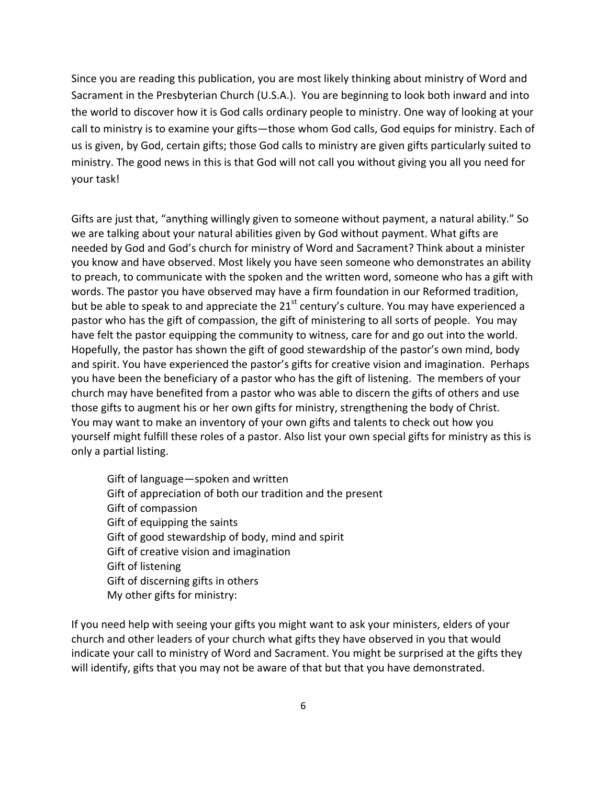Since you are reading this publication, you are most likely thinking about ministry of Word and Sacrament in the Presbyterian Church (U.S.A.). You are beginning to look both inward and into the world to discover how it is God calls ordinary people to ministry. One way of looking at your call to ministry is to examine your gifts—those whom God calls, God equips for ministry. Each of us is given, by God, certain gifts; those God calls to ministry are given gifts particularly suited to ministry. The good news in this is that God will not call you without giving you all you need for your task!

Gifts are just that, "anything willingly given to someone without payment, a natural ability." So we are talking about your natural abilities given by God without payment. What gifts are needed by God and God's church for ministry of Word and Sacrament? Think about a minister you know and have observed. Most likely you have seen someone who demonstrates an ability to preach, to communicate with the spoken and the written word, someone who has a gift with words. The pastor you have observed may have a firm foundation in our Reformed tradition, but be able to speak to and appreciate the  $21<sup>st</sup>$  century's culture. You may have experienced a pastor who has the gift of compassion, the gift of ministering to all sorts of people. You may have felt the pastor equipping the community to witness, care for and go out into the world. Hopefully, the pastor has shown the gift of good stewardship of the pastor's own mind, body and spirit. You have experienced the pastor's gifts for creative vision and imagination. Perhaps you have been the beneficiary of a pastor who has the gift of listening. The members of your church may have benefited from a pastor who was able to discern the gifts of others and use those gifts to augment his or her own gifts for ministry, strengthening the body of Christ. You may want to make an inventory of your own gifts and talents to check out how you yourself might fulfill these roles of a pastor. Also list your own special gifts for ministry as this is only a partial listing.

Gift of language—spoken and written Gift of appreciation of both our tradition and the present Gift of compassion Gift of equipping the saints Gift of good stewardship of body, mind and spirit Gift of creative vision and imagination Gift of listening Gift of discerning gifts in others My other gifts for ministry:

If you need help with seeing your gifts you might want to ask your ministers, elders of your church and other leaders of your church what gifts they have observed in you that would indicate your call to ministry of Word and Sacrament. You might be surprised at the gifts they will identify, gifts that you may not be aware of that but that you have demonstrated.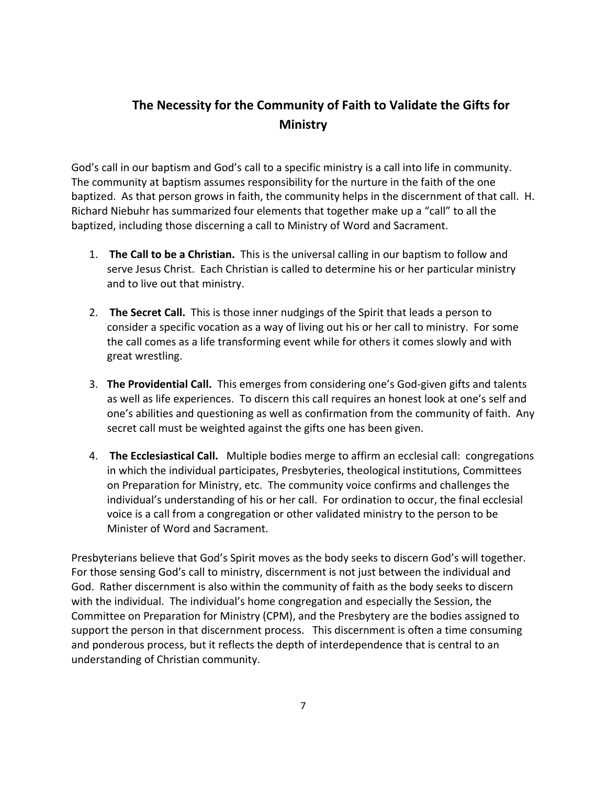# **The Necessity for the Community of Faith to Validate the Gifts for Ministry**

God's call in our baptism and God's call to a specific ministry is a call into life in community. The community at baptism assumes responsibility for the nurture in the faith of the one baptized. As that person grows in faith, the community helps in the discernment of that call. H. Richard Niebuhr has summarized four elements that together make up a "call" to all the baptized, including those discerning a call to Ministry of Word and Sacrament.

- 1. **The Call to be a Christian.** This is the universal calling in our baptism to follow and serve Jesus Christ. Each Christian is called to determine his or her particular ministry and to live out that ministry.
- 2. **The Secret Call.** This is those inner nudgings of the Spirit that leads a person to consider a specific vocation as a way of living out his or her call to ministry. For some the call comes as a life transforming event while for others it comes slowly and with great wrestling.
- 3. **The Providential Call.** This emerges from considering one's God-given gifts and talents as well as life experiences. To discern this call requires an honest look at one's self and one's abilities and questioning as well as confirmation from the community of faith. Any secret call must be weighted against the gifts one has been given.
- 4. **The Ecclesiastical Call.** Multiple bodies merge to affirm an ecclesial call: congregations in which the individual participates, Presbyteries, theological institutions, Committees on Preparation for Ministry, etc. The community voice confirms and challenges the individual's understanding of his or her call. For ordination to occur, the final ecclesial voice is a call from a congregation or other validated ministry to the person to be Minister of Word and Sacrament.

Presbyterians believe that God's Spirit moves as the body seeks to discern God's will together. For those sensing God's call to ministry, discernment is not just between the individual and God. Rather discernment is also within the community of faith as the body seeks to discern with the individual. The individual's home congregation and especially the Session, the Committee on Preparation for Ministry (CPM), and the Presbytery are the bodies assigned to support the person in that discernment process. This discernment is often a time consuming and ponderous process, but it reflects the depth of interdependence that is central to an understanding of Christian community.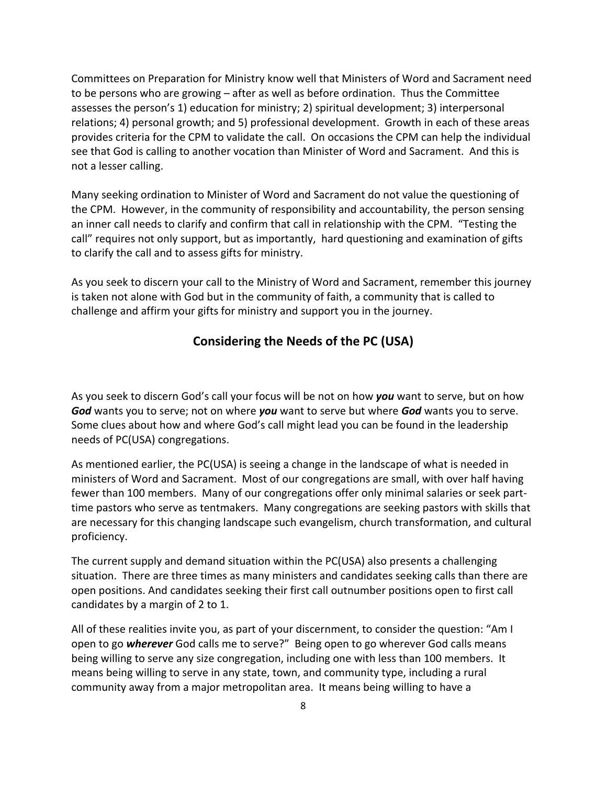Committees on Preparation for Ministry know well that Ministers of Word and Sacrament need to be persons who are growing – after as well as before ordination. Thus the Committee assesses the person's 1) education for ministry; 2) spiritual development; 3) interpersonal relations; 4) personal growth; and 5) professional development. Growth in each of these areas provides criteria for the CPM to validate the call. On occasions the CPM can help the individual see that God is calling to another vocation than Minister of Word and Sacrament. And this is not a lesser calling.

Many seeking ordination to Minister of Word and Sacrament do not value the questioning of the CPM. However, in the community of responsibility and accountability, the person sensing an inner call needs to clarify and confirm that call in relationship with the CPM. "Testing the call" requires not only support, but as importantly, hard questioning and examination of gifts to clarify the call and to assess gifts for ministry.

As you seek to discern your call to the Ministry of Word and Sacrament, remember this journey is taken not alone with God but in the community of faith, a community that is called to challenge and affirm your gifts for ministry and support you in the journey.

# **Considering the Needs of the PC (USA)**

As you seek to discern God's call your focus will be not on how *you* want to serve, but on how *God* wants you to serve; not on where *you* want to serve but where *God* wants you to serve. Some clues about how and where God's call might lead you can be found in the leadership needs of PC(USA) congregations.

As mentioned earlier, the PC(USA) is seeing a change in the landscape of what is needed in ministers of Word and Sacrament. Most of our congregations are small, with over half having fewer than 100 members. Many of our congregations offer only minimal salaries or seek parttime pastors who serve as tentmakers. Many congregations are seeking pastors with skills that are necessary for this changing landscape such evangelism, church transformation, and cultural proficiency.

The current supply and demand situation within the PC(USA) also presents a challenging situation. There are three times as many ministers and candidates seeking calls than there are open positions. And candidates seeking their first call outnumber positions open to first call candidates by a margin of 2 to 1.

All of these realities invite you, as part of your discernment, to consider the question: "Am I open to go *wherever* God calls me to serve?" Being open to go wherever God calls means being willing to serve any size congregation, including one with less than 100 members. It means being willing to serve in any state, town, and community type, including a rural community away from a major metropolitan area. It means being willing to have a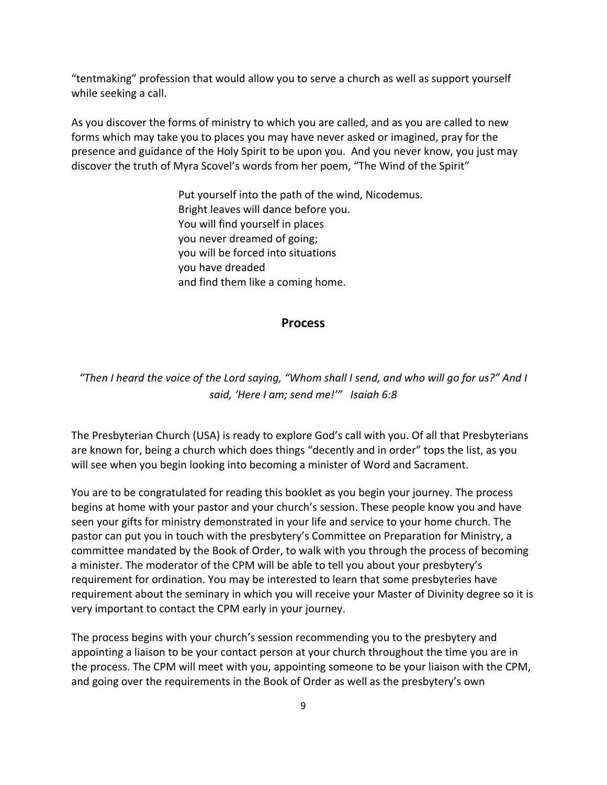"tentmaking" profession that would allow you to serve a church as well as support yourself while seeking a call.

As you discover the forms of ministry to which you are called, and as you are called to new forms which may take you to places you may have never asked or imagined, pray for the presence and guidance of the Holy Spirit to be upon you. And you never know, you just may discover the truth of Myra Scovel's words from her poem, "The Wind of the Spirit"

> Put yourself into the path of the wind, Nicodemus. Bright leaves will dance before you. You will find yourself in places you never dreamed of going; you will be forced into situations you have dreaded and find them like a coming home.

#### **Process**

# *"Then I heard the voice of the Lord saying, "Whom shall I send, and who will go for us?" And I said, 'Here I am; send me!'" Isaiah 6:8*

The Presbyterian Church (USA) is ready to explore God's call with you. Of all that Presbyterians are known for, being a church which does things "decently and in order" tops the list, as you will see when you begin looking into becoming a minister of Word and Sacrament.

You are to be congratulated for reading this booklet as you begin your journey. The process begins at home with your pastor and your church's session. These people know you and have seen your gifts for ministry demonstrated in your life and service to your home church. The pastor can put you in touch with the presbytery's Committee on Preparation for Ministry, a committee mandated by the Book of Order, to walk with you through the process of becoming a minister. The moderator of the CPM will be able to tell you about your presbytery's requirement for ordination. You may be interested to learn that some presbyteries have requirement about the seminary in which you will receive your Master of Divinity degree so it is very important to contact the CPM early in your journey.

The process begins with your church's session recommending you to the presbytery and appointing a liaison to be your contact person at your church throughout the time you are in the process. The CPM will meet with you, appointing someone to be your liaison with the CPM, and going over the requirements in the Book of Order as well as the presbytery's own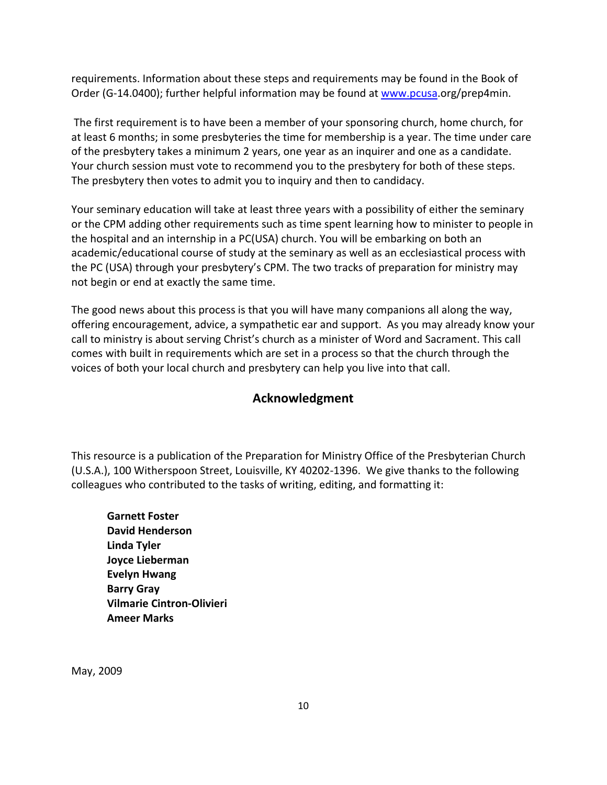requirements. Information about these steps and requirements may be found in the Book of Order (G-14.0400); further helpful information may be found at [www.pcusa.](http://www.pcusa/)org/prep4min.

The first requirement is to have been a member of your sponsoring church, home church, for at least 6 months; in some presbyteries the time for membership is a year. The time under care of the presbytery takes a minimum 2 years, one year as an inquirer and one as a candidate. Your church session must vote to recommend you to the presbytery for both of these steps. The presbytery then votes to admit you to inquiry and then to candidacy.

Your seminary education will take at least three years with a possibility of either the seminary or the CPM adding other requirements such as time spent learning how to minister to people in the hospital and an internship in a PC(USA) church. You will be embarking on both an academic/educational course of study at the seminary as well as an ecclesiastical process with the PC (USA) through your presbytery's CPM. The two tracks of preparation for ministry may not begin or end at exactly the same time.

The good news about this process is that you will have many companions all along the way, offering encouragement, advice, a sympathetic ear and support. As you may already know your call to ministry is about serving Christ's church as a minister of Word and Sacrament. This call comes with built in requirements which are set in a process so that the church through the voices of both your local church and presbytery can help you live into that call.

# **Acknowledgment**

This resource is a publication of the Preparation for Ministry Office of the Presbyterian Church (U.S.A.), 100 Witherspoon Street, Louisville, KY 40202-1396. We give thanks to the following colleagues who contributed to the tasks of writing, editing, and formatting it:

**Garnett Foster David Henderson Linda Tyler Joyce Lieberman Evelyn Hwang Barry Gray Vilmarie Cintron-Olivieri Ameer Marks**

May, 2009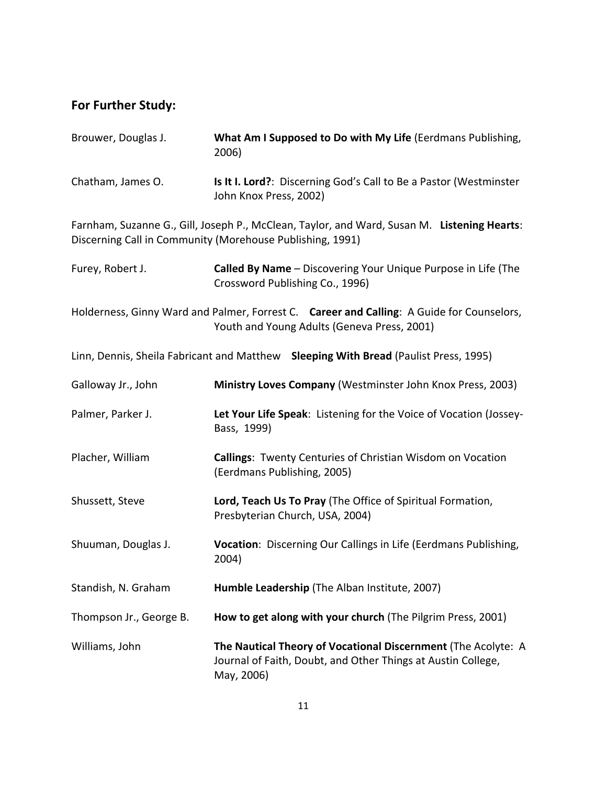# **For Further Study:**

| Brouwer, Douglas J.                                                                                                                                      | What Am I Supposed to Do with My Life (Eerdmans Publishing,<br>2006)                                                                        |
|----------------------------------------------------------------------------------------------------------------------------------------------------------|---------------------------------------------------------------------------------------------------------------------------------------------|
| Chatham, James O.                                                                                                                                        | Is It I. Lord?: Discerning God's Call to Be a Pastor (Westminster<br>John Knox Press, 2002)                                                 |
| Farnham, Suzanne G., Gill, Joseph P., McClean, Taylor, and Ward, Susan M. Listening Hearts:<br>Discerning Call in Community (Morehouse Publishing, 1991) |                                                                                                                                             |
| Furey, Robert J.                                                                                                                                         | Called By Name - Discovering Your Unique Purpose in Life (The<br>Crossword Publishing Co., 1996)                                            |
|                                                                                                                                                          | Holderness, Ginny Ward and Palmer, Forrest C. Career and Calling: A Guide for Counselors,<br>Youth and Young Adults (Geneva Press, 2001)    |
| Linn, Dennis, Sheila Fabricant and Matthew Sleeping With Bread (Paulist Press, 1995)                                                                     |                                                                                                                                             |
| Galloway Jr., John                                                                                                                                       | Ministry Loves Company (Westminster John Knox Press, 2003)                                                                                  |
| Palmer, Parker J.                                                                                                                                        | Let Your Life Speak: Listening for the Voice of Vocation (Jossey-<br>Bass, 1999)                                                            |
| Placher, William                                                                                                                                         | <b>Callings: Twenty Centuries of Christian Wisdom on Vocation</b><br>(Eerdmans Publishing, 2005)                                            |
| Shussett, Steve                                                                                                                                          | Lord, Teach Us To Pray (The Office of Spiritual Formation,<br>Presbyterian Church, USA, 2004)                                               |
| Shuuman, Douglas J.                                                                                                                                      | Vocation: Discerning Our Callings in Life (Eerdmans Publishing,<br>2004)                                                                    |
| Standish, N. Graham                                                                                                                                      | Humble Leadership (The Alban Institute, 2007)                                                                                               |
| Thompson Jr., George B.                                                                                                                                  | How to get along with your church (The Pilgrim Press, 2001)                                                                                 |
| Williams, John                                                                                                                                           | The Nautical Theory of Vocational Discernment (The Acolyte: A<br>Journal of Faith, Doubt, and Other Things at Austin College,<br>May, 2006) |